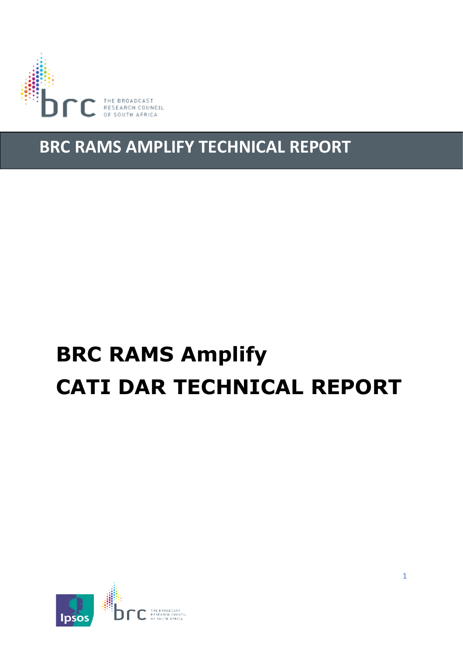

# **BRC RAMS AMPLIFY TECHNICAL REPORT**

# **BRC RAMS Amplify CATI DAR TECHNICAL REPORT**

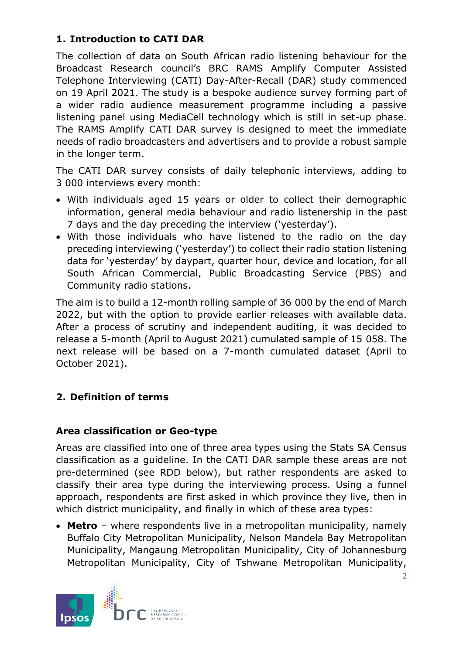# **1. Introduction to CATI DAR**

The collection of data on South African radio listening behaviour for the Broadcast Research council's BRC RAMS Amplify Computer Assisted Telephone Interviewing (CATI) Day-After-Recall (DAR) study commenced on 19 April 2021. The study is a bespoke audience survey forming part of a wider radio audience measurement programme including a passive listening panel using MediaCell technology which is still in set-up phase. The RAMS Amplify CATI DAR survey is designed to meet the immediate needs of radio broadcasters and advertisers and to provide a robust sample in the longer term.

The CATI DAR survey consists of daily telephonic interviews, adding to 3 000 interviews every month:

- With individuals aged 15 years or older to collect their demographic information, general media behaviour and radio listenership in the past 7 days and the day preceding the interview ('yesterday').
- With those individuals who have listened to the radio on the day preceding interviewing ('yesterday') to collect their radio station listening data for 'yesterday' by daypart, quarter hour, device and location, for all South African Commercial, Public Broadcasting Service (PBS) and Community radio stations.

The aim is to build a 12-month rolling sample of 36 000 by the end of March 2022, but with the option to provide earlier releases with available data. After a process of scrutiny and independent auditing, it was decided to release a 5-month (April to August 2021) cumulated sample of 15 058. The next release will be based on a 7-month cumulated dataset (April to October 2021).

# **2. Definition of terms**

#### **Area classification or Geo-type**

Areas are classified into one of three area types using the Stats SA Census classification as a guideline. In the CATI DAR sample these areas are not pre-determined (see RDD below), but rather respondents are asked to classify their area type during the interviewing process. Using a funnel approach, respondents are first asked in which province they live, then in which district municipality, and finally in which of these area types:

• **Metro** – where respondents live in a metropolitan municipality, namely Buffalo City Metropolitan Municipality, Nelson Mandela Bay Metropolitan Municipality, Mangaung Metropolitan Municipality, City of Johannesburg Metropolitan Municipality, City of Tshwane Metropolitan Municipality,

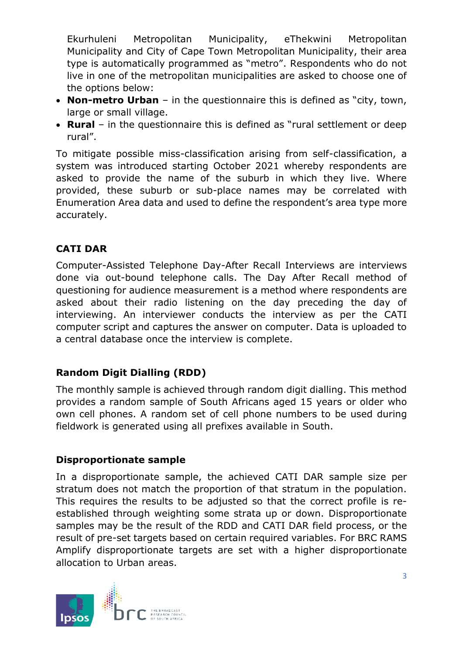Ekurhuleni Metropolitan Municipality, eThekwini Metropolitan Municipality and City of Cape Town Metropolitan Municipality, their area type is automatically programmed as "metro". Respondents who do not live in one of the metropolitan municipalities are asked to choose one of the options below:

- **Non-metro Urban** in the questionnaire this is defined as "city, town, large or small village.
- **Rural** in the questionnaire this is defined as "rural settlement or deep rural".

To mitigate possible miss-classification arising from self-classification, a system was introduced starting October 2021 whereby respondents are asked to provide the name of the suburb in which they live. Where provided, these suburb or sub-place names may be correlated with Enumeration Area data and used to define the respondent's area type more accurately.

#### **CATI DAR**

Computer-Assisted Telephone Day-After Recall Interviews are interviews done via out-bound telephone calls. The Day After Recall method of questioning for audience measurement is a method where respondents are asked about their radio listening on the day preceding the day of interviewing. An interviewer conducts the interview as per the CATI computer script and captures the answer on computer. Data is uploaded to a central database once the interview is complete.

# **Random Digit Dialling (RDD)**

The monthly sample is achieved through random digit dialling. This method provides a random sample of South Africans aged 15 years or older who own cell phones. A random set of cell phone numbers to be used during fieldwork is generated using all prefixes available in South.

#### **Disproportionate sample**

In a disproportionate sample, the achieved CATI DAR sample size per stratum does not match the proportion of that stratum in the population. This requires the results to be adjusted so that the correct profile is reestablished through weighting some strata up or down. Disproportionate samples may be the result of the RDD and CATI DAR field process, or the result of pre-set targets based on certain required variables. For BRC RAMS Amplify disproportionate targets are set with a higher disproportionate allocation to Urban areas.

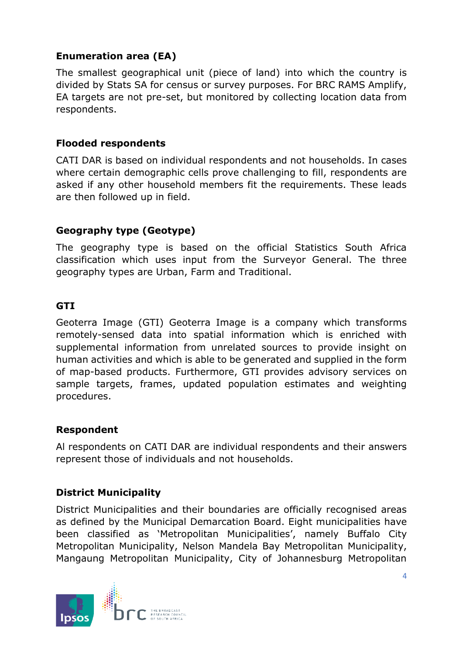## **Enumeration area (EA)**

The smallest geographical unit (piece of land) into which the country is divided by Stats SA for census or survey purposes. For BRC RAMS Amplify, EA targets are not pre-set, but monitored by collecting location data from respondents.

#### **Flooded respondents**

CATI DAR is based on individual respondents and not households. In cases where certain demographic cells prove challenging to fill, respondents are asked if any other household members fit the requirements. These leads are then followed up in field.

# **Geography type (Geotype)**

The geography type is based on the official Statistics South Africa classification which uses input from the Surveyor General. The three geography types are Urban, Farm and Traditional.

#### **GTI**

Geoterra Image (GTI) Geoterra Image is a company which transforms remotely-sensed data into spatial information which is enriched with supplemental information from unrelated sources to provide insight on human activities and which is able to be generated and supplied in the form of map-based products. Furthermore, GTI provides advisory services on sample targets, frames, updated population estimates and weighting procedures.

#### **Respondent**

Al respondents on CATI DAR are individual respondents and their answers represent those of individuals and not households.

#### **District Municipality**

District Municipalities and their boundaries are officially recognised areas as defined by the Municipal Demarcation Board. Eight municipalities have been classified as 'Metropolitan Municipalities', namely Buffalo City Metropolitan Municipality, Nelson Mandela Bay Metropolitan Municipality, Mangaung Metropolitan Municipality, City of Johannesburg Metropolitan

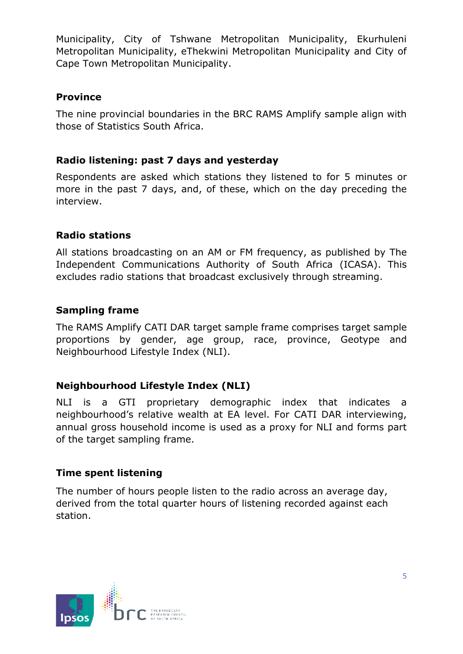Municipality, City of Tshwane Metropolitan Municipality, Ekurhuleni Metropolitan Municipality, eThekwini Metropolitan Municipality and City of Cape Town Metropolitan Municipality.

#### **Province**

The nine provincial boundaries in the BRC RAMS Amplify sample align with those of Statistics South Africa.

#### **Radio listening: past 7 days and yesterday**

Respondents are asked which stations they listened to for 5 minutes or more in the past 7 days, and, of these, which on the day preceding the interview.

#### **Radio stations**

All stations broadcasting on an AM or FM frequency, as published by The Independent Communications Authority of South Africa (ICASA). This excludes radio stations that broadcast exclusively through streaming.

#### **Sampling frame**

The RAMS Amplify CATI DAR target sample frame comprises target sample proportions by gender, age group, race, province, Geotype and Neighbourhood Lifestyle Index (NLI).

#### **Neighbourhood Lifestyle Index (NLI)**

NLI is a GTI proprietary demographic index that indicates a neighbourhood's relative wealth at EA level. For CATI DAR interviewing, annual gross household income is used as a proxy for NLI and forms part of the target sampling frame.

#### **Time spent listening**

The number of hours people listen to the radio across an average day, derived from the total quarter hours of listening recorded against each station.

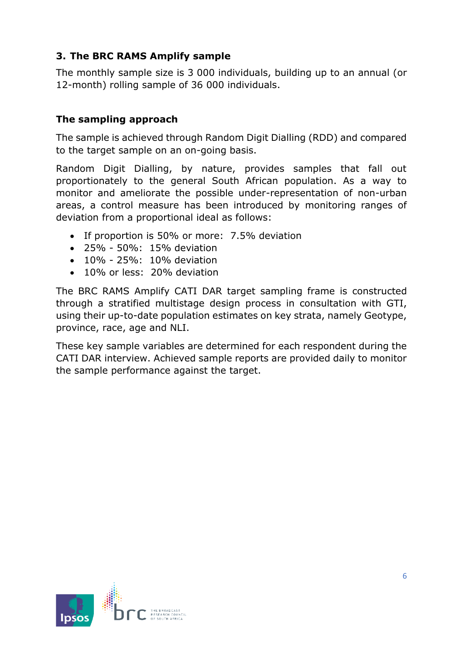# **3. The BRC RAMS Amplify sample**

The monthly sample size is 3 000 individuals, building up to an annual (or 12-month) rolling sample of 36 000 individuals.

#### **The sampling approach**

The sample is achieved through Random Digit Dialling (RDD) and compared to the target sample on an on-going basis.

Random Digit Dialling, by nature, provides samples that fall out proportionately to the general South African population. As a way to monitor and ameliorate the possible under-representation of non-urban areas, a control measure has been introduced by monitoring ranges of deviation from a proportional ideal as follows:

- If proportion is 50% or more: 7.5% deviation
- 25% 50%: 15% deviation
- 10% 25%: 10% deviation
- 10% or less: 20% deviation

The BRC RAMS Amplify CATI DAR target sampling frame is constructed through a stratified multistage design process in consultation with GTI, using their up-to-date population estimates on key strata, namely Geotype, province, race, age and NLI.

These key sample variables are determined for each respondent during the CATI DAR interview. Achieved sample reports are provided daily to monitor the sample performance against the target.

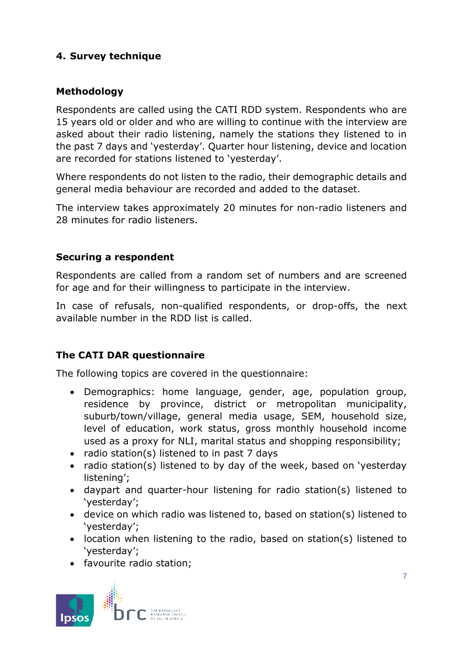# **4. Survey technique**

## **Methodology**

Respondents are called using the CATI RDD system. Respondents who are 15 years old or older and who are willing to continue with the interview are asked about their radio listening, namely the stations they listened to in the past 7 days and 'yesterday'. Quarter hour listening, device and location are recorded for stations listened to 'yesterday'.

Where respondents do not listen to the radio, their demographic details and general media behaviour are recorded and added to the dataset.

The interview takes approximately 20 minutes for non-radio listeners and 28 minutes for radio listeners.

#### **Securing a respondent**

Respondents are called from a random set of numbers and are screened for age and for their willingness to participate in the interview.

In case of refusals, non-qualified respondents, or drop-offs, the next available number in the RDD list is called.

#### **The CATI DAR questionnaire**

The following topics are covered in the questionnaire:

- Demographics: home language, gender, age, population group, residence by province, district or metropolitan municipality, suburb/town/village, general media usage, SEM, household size, level of education, work status, gross monthly household income used as a proxy for NLI, marital status and shopping responsibility;
- radio station(s) listened to in past 7 days
- radio station(s) listened to by day of the week, based on 'yesterday listening';
- daypart and quarter-hour listening for radio station(s) listened to 'yesterday';
- device on which radio was listened to, based on station(s) listened to 'yesterday';
- location when listening to the radio, based on station(s) listened to 'yesterday';
- favourite radio station;

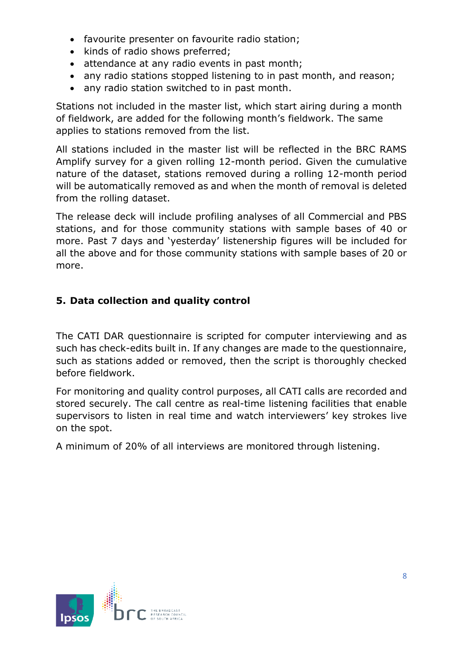- favourite presenter on favourite radio station;
- kinds of radio shows preferred;
- attendance at any radio events in past month;
- any radio stations stopped listening to in past month, and reason;
- any radio station switched to in past month.

Stations not included in the master list, which start airing during a month of fieldwork, are added for the following month's fieldwork. The same applies to stations removed from the list.

All stations included in the master list will be reflected in the BRC RAMS Amplify survey for a given rolling 12-month period. Given the cumulative nature of the dataset, stations removed during a rolling 12-month period will be automatically removed as and when the month of removal is deleted from the rolling dataset.

The release deck will include profiling analyses of all Commercial and PBS stations, and for those community stations with sample bases of 40 or more. Past 7 days and 'yesterday' listenership figures will be included for all the above and for those community stations with sample bases of 20 or more.

# **5. Data collection and quality control**

The CATI DAR questionnaire is scripted for computer interviewing and as such has check-edits built in. If any changes are made to the questionnaire, such as stations added or removed, then the script is thoroughly checked before fieldwork.

For monitoring and quality control purposes, all CATI calls are recorded and stored securely. The call centre as real-time listening facilities that enable supervisors to listen in real time and watch interviewers' key strokes live on the spot.

A minimum of 20% of all interviews are monitored through listening.

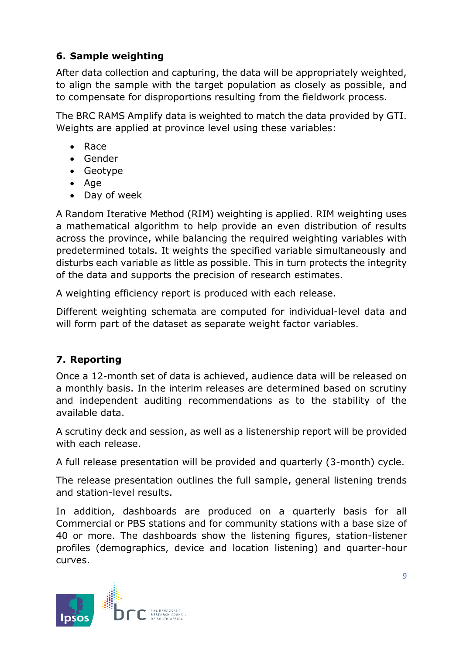# **6. Sample weighting**

After data collection and capturing, the data will be appropriately weighted, to align the sample with the target population as closely as possible, and to compensate for disproportions resulting from the fieldwork process.

The BRC RAMS Amplify data is weighted to match the data provided by GTI. Weights are applied at province level using these variables:

- Race
- Gender
- Geotype
- Age
- Day of week

A Random Iterative Method (RIM) weighting is applied. RIM weighting uses a mathematical algorithm to help provide an even distribution of results across the province, while balancing the required weighting variables with predetermined totals. It weights the specified variable simultaneously and disturbs each variable as little as possible. This in turn protects the integrity of the data and supports the precision of research estimates.

A weighting efficiency report is produced with each release.

Different weighting schemata are computed for individual-level data and will form part of the dataset as separate weight factor variables.

# **7. Reporting**

Once a 12-month set of data is achieved, audience data will be released on a monthly basis. In the interim releases are determined based on scrutiny and independent auditing recommendations as to the stability of the available data.

A scrutiny deck and session, as well as a listenership report will be provided with each release.

A full release presentation will be provided and quarterly (3-month) cycle.

The release presentation outlines the full sample, general listening trends and station-level results.

In addition, dashboards are produced on a quarterly basis for all Commercial or PBS stations and for community stations with a base size of 40 or more. The dashboards show the listening figures, station-listener profiles (demographics, device and location listening) and quarter-hour curves.